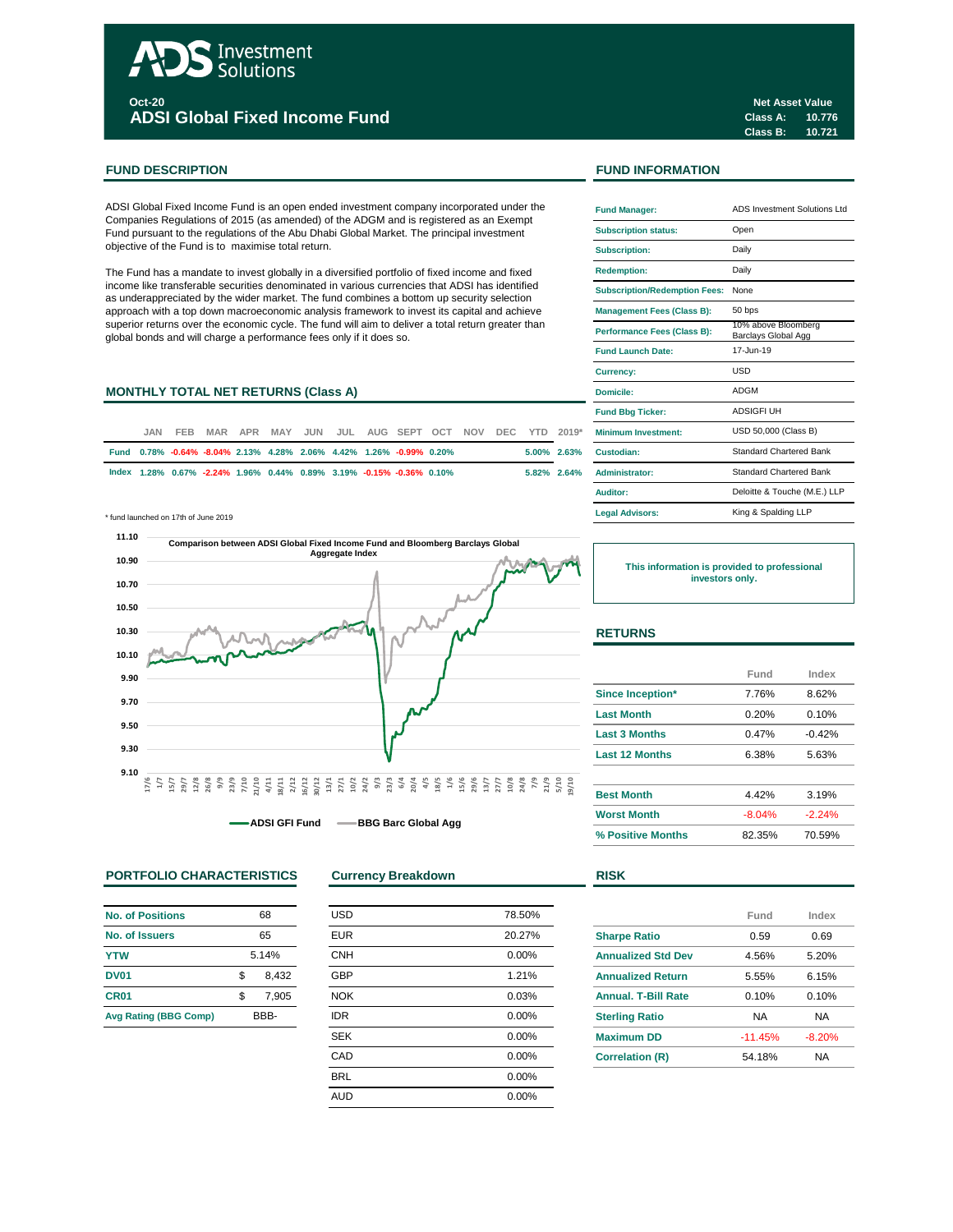# Investment Solutions **Oct-20 ADSI Global Fixed Income Fund**

## **FUND DESCRIPTION FUND INFORMATION**

ADSI Global Fixed Income Fund is an open ended investment company incorporated under the Companies Regulations of 2015 (as amended) of the ADGM and is registered as an Exempt Fund pursuant to the regulations of the Abu Dhabi Global Market. The principal investment objective of the Fund is to maximise total return.

The Fund has a mandate to invest globally in a diversified portfolio of fixed income and fixed income like transferable securities denominated in various currencies that ADSI has identified as underappreciated by the wider market. The fund combines a bottom up security selection approach with a top down macroeconomic analysis framework to invest its capital and achieve superior returns over the economic cycle. The fund will aim to deliver a total return greater than global bonds and will charge a performance fees only if it does so.

## **MONTHLY TOTAL NET RETURNS (Class A)**

| JAN. | FEB. |  |  |  | MAR APR MAY JUN JUL AUG SEPT OCT NOV DEC YTD 2019*                   |  |  |                | <b>Minimum Investment:</b> |
|------|------|--|--|--|----------------------------------------------------------------------|--|--|----------------|----------------------------|
|      |      |  |  |  | Fund 0.78% -0.64% -8.04% 2.13% 4.28% 2.06% 4.42% 1.26% -0.99% 0.20%  |  |  | $5.00\%$ 2.63% | Custodian:                 |
|      |      |  |  |  | lndex 1.28% 0.67% -2.24% 1.96% 0.44% 0.89% 3.19% -0.15% -0.36% 0.10% |  |  |                | 5.82% 2.64% Administrator: |

\* fund launched on 17th of June 2019 **Legal Advisors:**



**ADSI GFI Fund BBG Barc Global Agg** 

## **PORTFOLIO CHARACTERISTICS Currency Breakdown RISK**

| <b>No. of Positions</b>      |     | 68    |
|------------------------------|-----|-------|
| No. of Issuers               |     | 65    |
| <b>YTW</b>                   |     | 5.14% |
| <b>DV01</b>                  | \$  | 8.432 |
| CR <sub>01</sub>             | \$. | 7.905 |
| <b>Avg Rating (BBG Comp)</b> |     | RRR-  |

| <b>USD</b> | 78.50% |
|------------|--------|
| <b>EUR</b> | 20.27% |
| <b>CNH</b> | 0.00%  |
| <b>GBP</b> | 1.21%  |
| <b>NOK</b> | 0.03%  |
| <b>IDR</b> | 0.00%  |
| <b>SEK</b> | 0.00%  |
| CAD        | 0.00%  |
| <b>BRL</b> | 0.00%  |
| <b>AUD</b> | 0.00%  |
|            |        |

| <b>Fund Manager:</b>                 | ADS Investment Solutions Ltd               |
|--------------------------------------|--------------------------------------------|
| <b>Subscription status:</b>          | Open                                       |
| <b>Subscription:</b>                 | Daily                                      |
| <b>Redemption:</b>                   | Daily                                      |
| <b>Subscription/Redemption Fees:</b> | None                                       |
| <b>Management Fees (Class B):</b>    | 50 bps                                     |
| Performance Fees (Class B):          | 10% above Bloomberg<br>Barclays Global Agg |
| <b>Fund Launch Date:</b>             | 17-Jun-19                                  |
| Currency:                            | USD                                        |
| Domicile:                            | <b>ADGM</b>                                |
| <b>Fund Bbg Ticker:</b>              | <b>ADSIGFI UH</b>                          |
| Minimum Investment:                  | USD 50,000 (Class B)                       |
| Custodian:                           | <b>Standard Chartered Bank</b>             |
| <b>Administrator:</b>                | <b>Standard Chartered Bank</b>             |
| Auditor:                             | Deloitte & Touche (M.E.) LLP               |
| <b>Legal Advisors:</b>               | King & Spalding LLP                        |

**This information is provided to professional investors only.**

# **RETURNS**

|                       | Fund     | Index    |
|-----------------------|----------|----------|
| Since Inception*      | 7.76%    | 8.62%    |
| <b>Last Month</b>     | 0.20%    | 0.10%    |
| <b>Last 3 Months</b>  | 0.47%    | $-0.42%$ |
| <b>Last 12 Months</b> | 6.38%    | 5.63%    |
| <b>Best Month</b>     | 4.42%    | 3.19%    |
| <b>Worst Month</b>    | $-8.04%$ | $-2.24%$ |
| % Positive Months     | 82.35%   | 70.59%   |

|                            | Fund      | Index    |
|----------------------------|-----------|----------|
| <b>Sharpe Ratio</b>        | 0.59      | 0.69     |
| <b>Annualized Std Dev</b>  | 4.56%     | 5.20%    |
| <b>Annualized Return</b>   | 5.55%     | 6.15%    |
| <b>Annual, T-Bill Rate</b> | 0.10%     | 0.10%    |
| <b>Sterling Ratio</b>      | NA        | NA       |
| <b>Maximum DD</b>          | $-11.45%$ | $-8.20%$ |
| <b>Correlation (R)</b>     | 54.18%    | NA       |